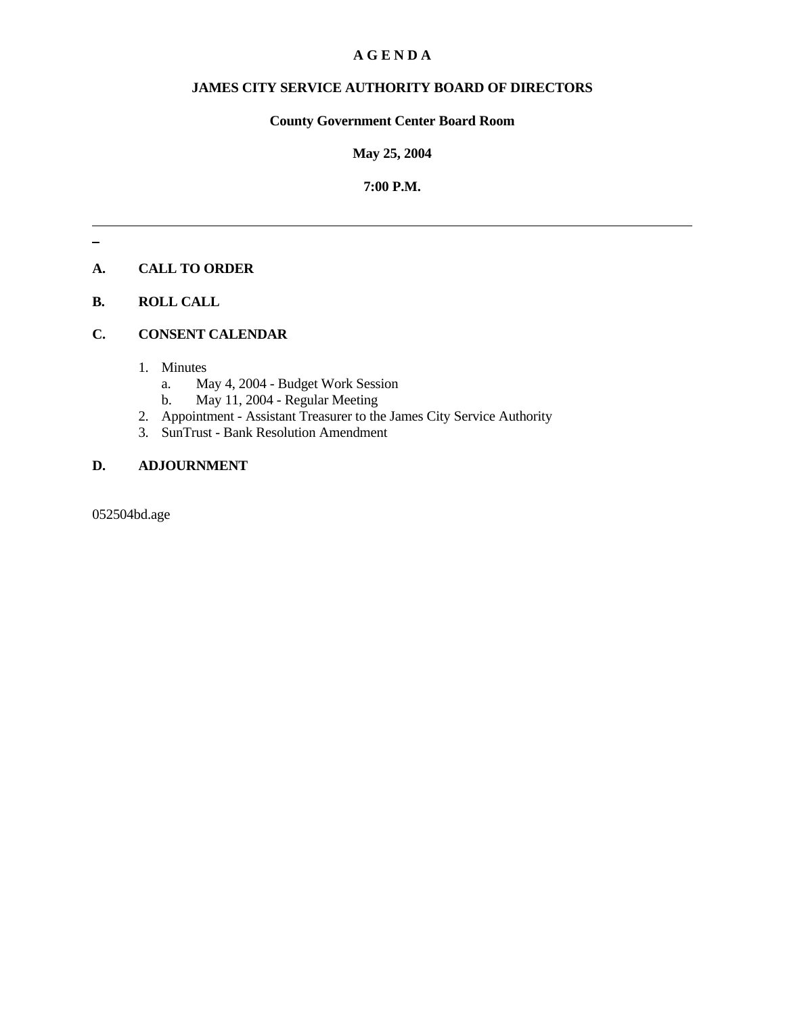## **A G E N D A**

## **JAMES CITY SERVICE AUTHORITY BOARD OF DIRECTORS**

## **County Government Center Board Room**

## **May 25, 2004**

## **7:00 P.M.**

# **A. CALL TO ORDER**

## **B. ROLL CALL**

## **C. CONSENT CALENDAR**

- 1. Minutes
	- a. May 4, 2004 Budget Work Session
	- b. May 11, 2004 Regular Meeting
- 2. Appointment Assistant Treasurer to the James City Service Authority
- 3. SunTrust Bank Resolution Amendment

## **D. ADJOURNMENT**

052504bd.age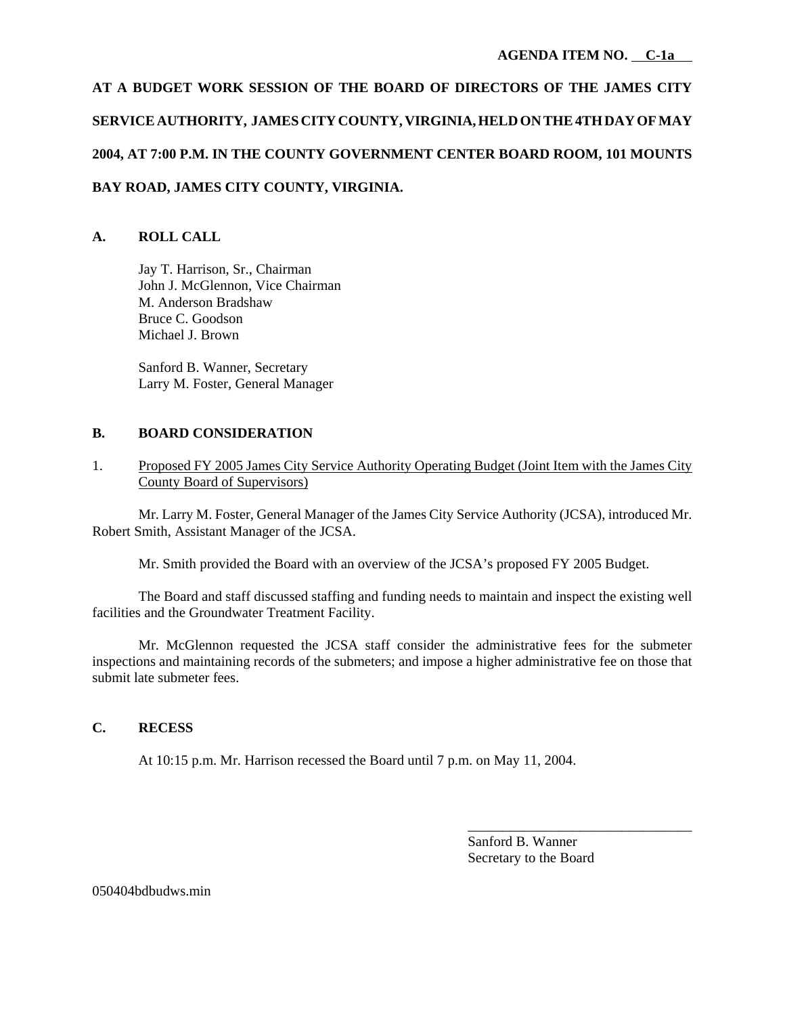**AT A BUDGET WORK SESSION OF THE BOARD OF DIRECTORS OF THE JAMES CITY SERVICE AUTHORITY, JAMES CITY COUNTY, VIRGINIA, HELD ON THE 4TH DAY OF MAY 2004, AT 7:00 P.M. IN THE COUNTY GOVERNMENT CENTER BOARD ROOM, 101 MOUNTS BAY ROAD, JAMES CITY COUNTY, VIRGINIA.**

# **A. ROLL CALL**

Jay T. Harrison, Sr., Chairman John J. McGlennon, Vice Chairman M. Anderson Bradshaw Bruce C. Goodson Michael J. Brown

Sanford B. Wanner, Secretary Larry M. Foster, General Manager

## **B. BOARD CONSIDERATION**

1. Proposed FY 2005 James City Service Authority Operating Budget (Joint Item with the James City County Board of Supervisors)

Mr. Larry M. Foster, General Manager of the James City Service Authority (JCSA), introduced Mr. Robert Smith, Assistant Manager of the JCSA.

Mr. Smith provided the Board with an overview of the JCSA's proposed FY 2005 Budget.

The Board and staff discussed staffing and funding needs to maintain and inspect the existing well facilities and the Groundwater Treatment Facility.

Mr. McGlennon requested the JCSA staff consider the administrative fees for the submeter inspections and maintaining records of the submeters; and impose a higher administrative fee on those that submit late submeter fees.

## **C. RECESS**

At 10:15 p.m. Mr. Harrison recessed the Board until 7 p.m. on May 11, 2004.

Sanford B. Wanner Secretary to the Board

\_\_\_\_\_\_\_\_\_\_\_\_\_\_\_\_\_\_\_\_\_\_\_\_\_\_\_\_\_\_\_\_

050404bdbudws.min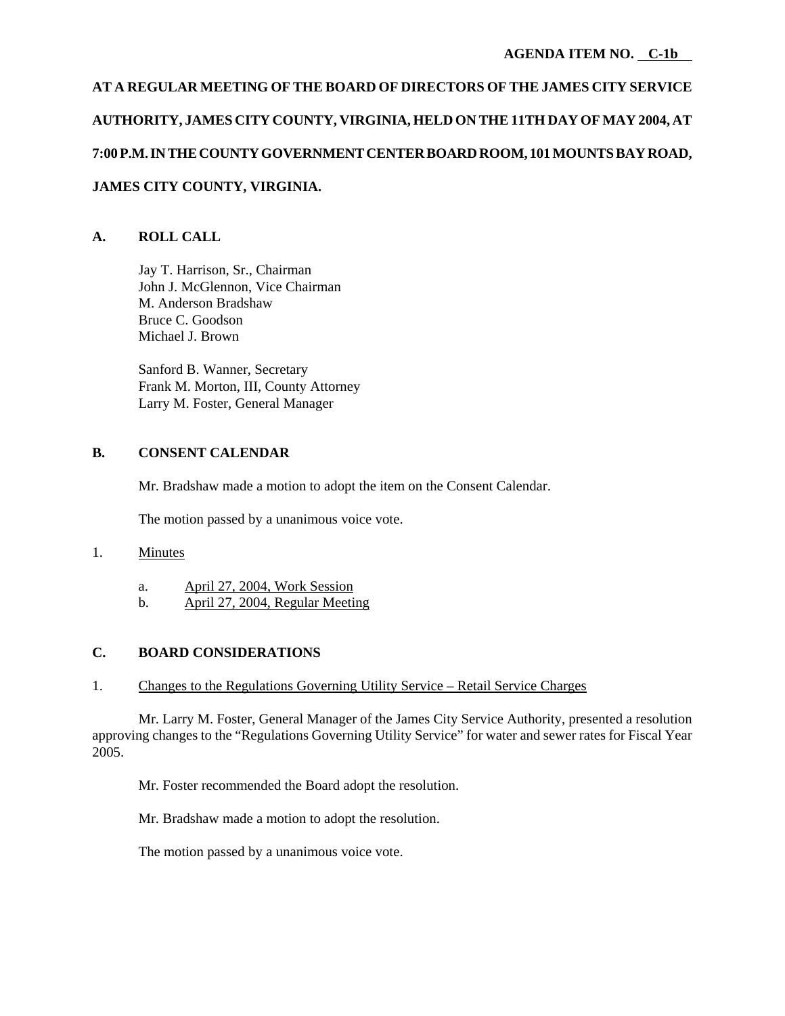# **AT A REGULAR MEETING OF THE BOARD OF DIRECTORS OF THE JAMES CITY SERVICE AUTHORITY, JAMES CITY COUNTY, VIRGINIA, HELD ON THE 11TH DAY OF MAY 2004, AT 7:00 P.M. IN THE COUNTY GOVERNMENT CENTER BOARD ROOM, 101 MOUNTS BAY ROAD, JAMES CITY COUNTY, VIRGINIA.**

# **A. ROLL CALL**

Jay T. Harrison, Sr., Chairman John J. McGlennon, Vice Chairman M. Anderson Bradshaw Bruce C. Goodson Michael J. Brown

Sanford B. Wanner, Secretary Frank M. Morton, III, County Attorney Larry M. Foster, General Manager

# **B. CONSENT CALENDAR**

Mr. Bradshaw made a motion to adopt the item on the Consent Calendar.

The motion passed by a unanimous voice vote.

## 1. Minutes

- a. April 27, 2004, Work Session
- b. April 27, 2004, Regular Meeting

## **C. BOARD CONSIDERATIONS**

## 1. Changes to the Regulations Governing Utility Service – Retail Service Charges

Mr. Larry M. Foster, General Manager of the James City Service Authority, presented a resolution approving changes to the "Regulations Governing Utility Service" for water and sewer rates for Fiscal Year 2005.

Mr. Foster recommended the Board adopt the resolution.

Mr. Bradshaw made a motion to adopt the resolution.

The motion passed by a unanimous voice vote.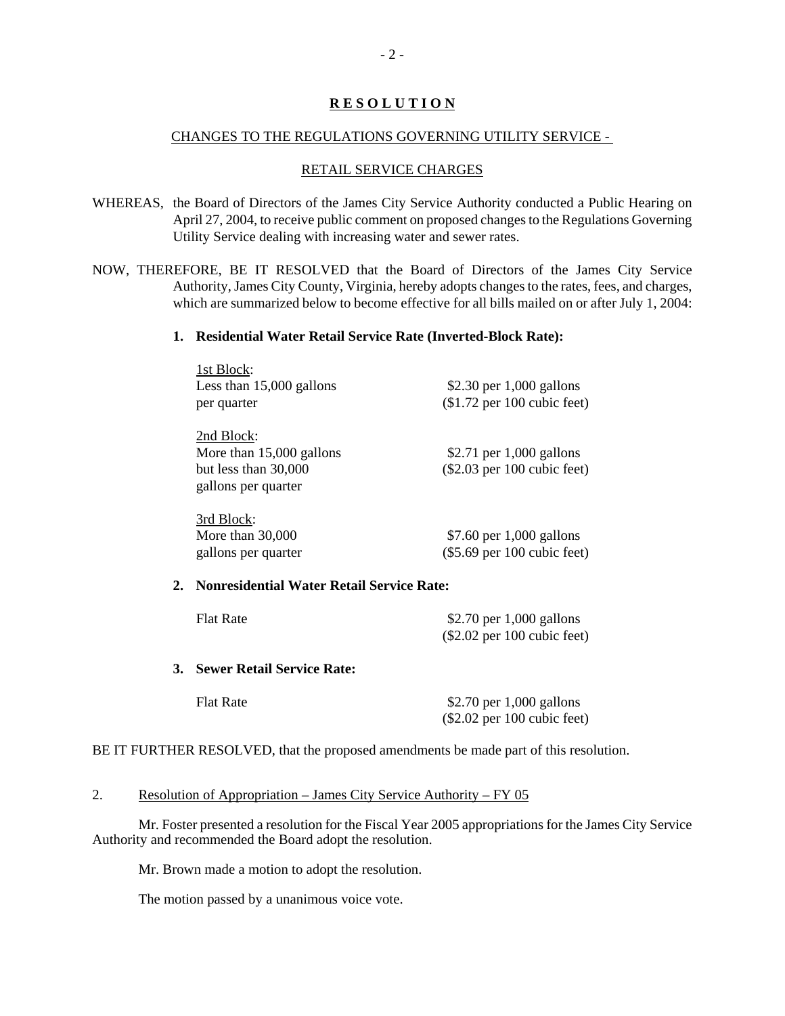#### CHANGES TO THE REGULATIONS GOVERNING UTILITY SERVICE -

#### RETAIL SERVICE CHARGES

- WHEREAS, the Board of Directors of the James City Service Authority conducted a Public Hearing on April 27, 2004, to receive public comment on proposed changes to the Regulations Governing Utility Service dealing with increasing water and sewer rates.
- NOW, THEREFORE, BE IT RESOLVED that the Board of Directors of the James City Service Authority, James City County, Virginia, hereby adopts changes to the rates, fees, and charges, which are summarized below to become effective for all bills mailed on or after July 1, 2004:

#### **1. Residential Water Retail Service Rate (Inverted-Block Rate):**

|    | 1st Block:                                       |                               |  |
|----|--------------------------------------------------|-------------------------------|--|
|    | Less than $15,000$ gallons                       | \$2.30 per $1,000$ gallons    |  |
|    | per quarter                                      | $($1.72$ per 100 cubic feet)  |  |
|    | 2nd Block:                                       |                               |  |
|    | More than $15,000$ gallons                       | \$2.71 per $1,000$ gallons    |  |
|    | but less than 30,000                             | $(\$2.03$ per 100 cubic feet) |  |
|    | gallons per quarter                              |                               |  |
|    | 3rd Block:                                       |                               |  |
|    | More than $30,000$                               | \$7.60 per $1,000$ gallons    |  |
|    | gallons per quarter                              | $(\$5.69$ per 100 cubic feet) |  |
| 2. | <b>Nonresidential Water Retail Service Rate:</b> |                               |  |
|    | <b>Flat Rate</b>                                 | \$2.70 per 1,000 gallons      |  |
|    |                                                  | $(\$2.02$ per 100 cubic feet) |  |

## **3. Sewer Retail Service Rate:**

| <b>Flat Rate</b> | \$2.70 per $1,000$ gallons   |
|------------------|------------------------------|
|                  | $($2.02$ per 100 cubic feet) |

BE IT FURTHER RESOLVED, that the proposed amendments be made part of this resolution.

#### 2. Resolution of Appropriation – James City Service Authority – FY 05

Mr. Foster presented a resolution for the Fiscal Year 2005 appropriations for the James City Service Authority and recommended the Board adopt the resolution.

Mr. Brown made a motion to adopt the resolution.

The motion passed by a unanimous voice vote.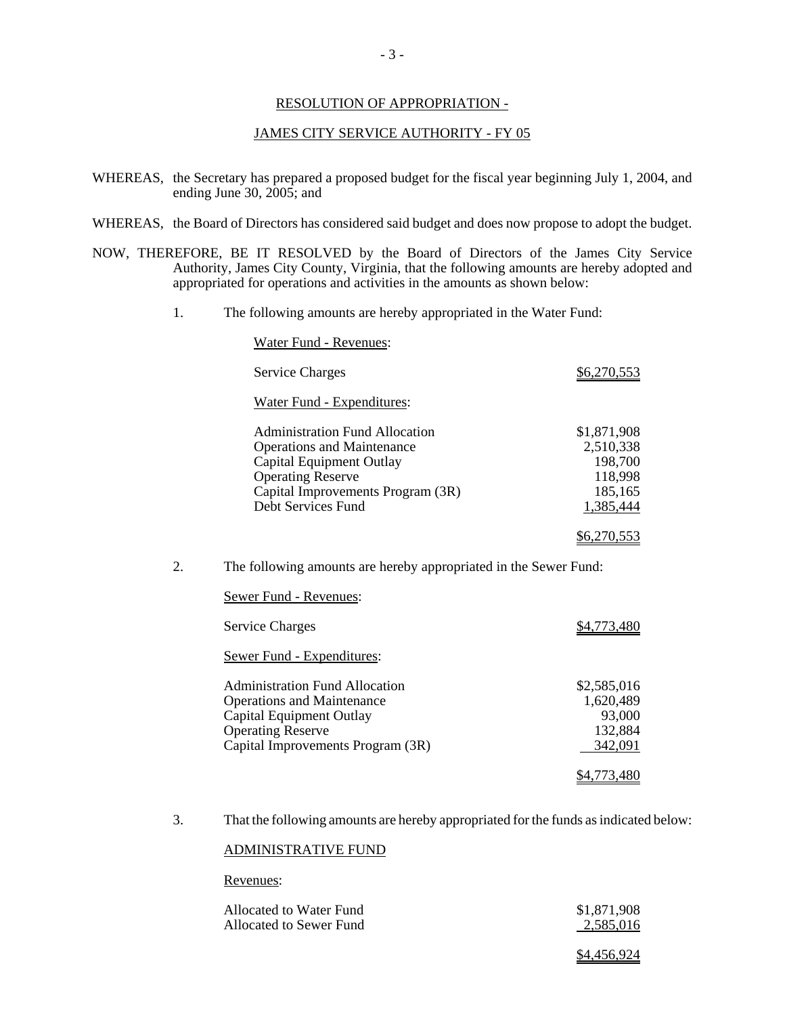#### RESOLUTION OF APPROPRIATION -

#### JAMES CITY SERVICE AUTHORITY - FY 05

- WHEREAS, the Secretary has prepared a proposed budget for the fiscal year beginning July 1, 2004, and ending June 30, 2005; and
- WHEREAS, the Board of Directors has considered said budget and does now propose to adopt the budget.
- NOW, THEREFORE, BE IT RESOLVED by the Board of Directors of the James City Service Authority, James City County, Virginia, that the following amounts are hereby adopted and appropriated for operations and activities in the amounts as shown below:
	- 1. The following amounts are hereby appropriated in the Water Fund:

|    | <b>Water Fund - Revenues:</b>                                                                                                                                                                 |                                                                        |  |
|----|-----------------------------------------------------------------------------------------------------------------------------------------------------------------------------------------------|------------------------------------------------------------------------|--|
|    | <b>Service Charges</b>                                                                                                                                                                        | \$6,270,553                                                            |  |
|    | <b>Water Fund - Expenditures:</b>                                                                                                                                                             |                                                                        |  |
|    | <b>Administration Fund Allocation</b><br><b>Operations and Maintenance</b><br>Capital Equipment Outlay<br><b>Operating Reserve</b><br>Capital Improvements Program (3R)<br>Debt Services Fund | \$1,871,908<br>2,510,338<br>198,700<br>118,998<br>185,165<br>1,385,444 |  |
|    |                                                                                                                                                                                               | <u>\$6,270,553</u>                                                     |  |
| 2. | The following amounts are hereby appropriated in the Sewer Fund:                                                                                                                              |                                                                        |  |
|    | Sewer Fund - Revenues:                                                                                                                                                                        |                                                                        |  |
|    | <b>Service Charges</b>                                                                                                                                                                        | \$4,773,480                                                            |  |
|    | <b>Sewer Fund - Expenditures:</b>                                                                                                                                                             |                                                                        |  |
|    | <b>Administration Fund Allocation</b><br><b>Operations and Maintenance</b><br><b>Capital Equipment Outlay</b><br><b>Operating Reserve</b><br>Capital Improvements Program (3R)                | \$2,585,016<br>1,620,489<br>93,000<br>132,884<br>342,091               |  |
|    |                                                                                                                                                                                               | <u>\$4,773,480</u>                                                     |  |

3. That the following amounts are hereby appropriated for the funds as indicated below:

#### ADMINISTRATIVE FUND

#### Revenues:

| Allocated to Water Fund | \$1,871,908 |
|-------------------------|-------------|
| Allocated to Sewer Fund | 2,585,016   |
|                         |             |

\$4,456,924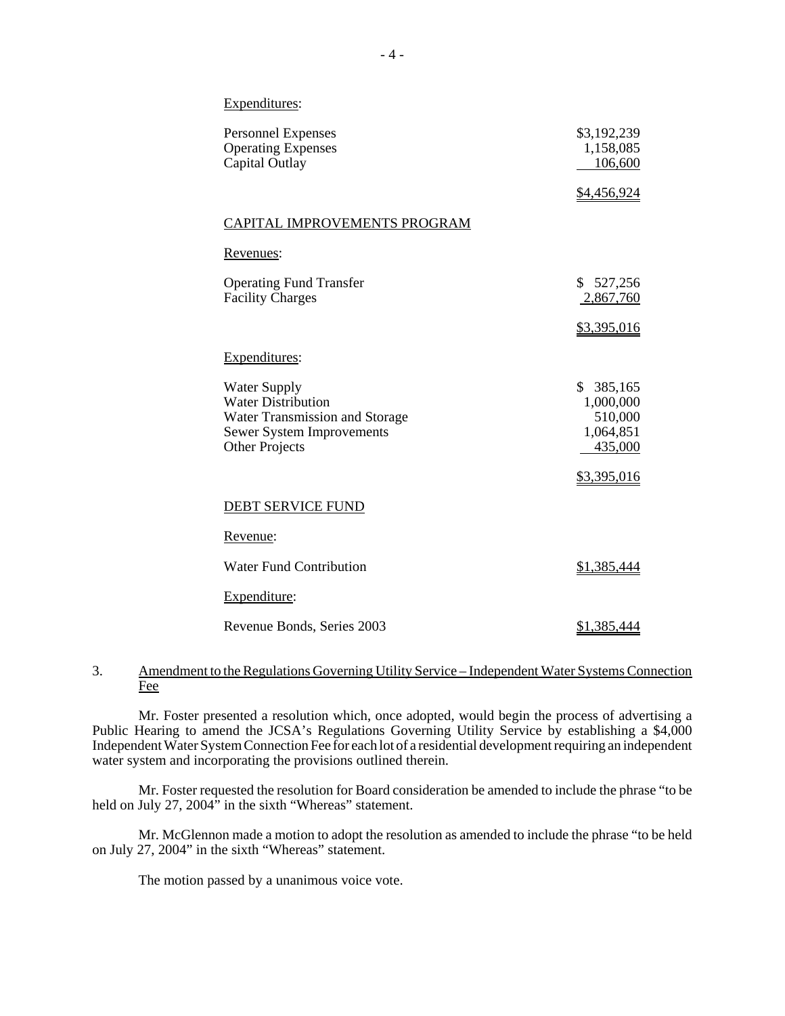#### Expenditures:

| <b>Personnel Expenses</b><br><b>Operating Expenses</b><br>Capital Outlay                                                                        | \$3,192,239<br>1,158,085<br>106,600                           |  |
|-------------------------------------------------------------------------------------------------------------------------------------------------|---------------------------------------------------------------|--|
|                                                                                                                                                 | <u>\$4,456,924</u>                                            |  |
| CAPITAL IMPROVEMENTS PROGRAM                                                                                                                    |                                                               |  |
| Revenues:                                                                                                                                       |                                                               |  |
| <b>Operating Fund Transfer</b><br><b>Facility Charges</b>                                                                                       | \$527,256<br>2,867,760                                        |  |
|                                                                                                                                                 | <u>\$3,395,016</u>                                            |  |
| Expenditures:                                                                                                                                   |                                                               |  |
| <b>Water Supply</b><br><b>Water Distribution</b><br>Water Transmission and Storage<br><b>Sewer System Improvements</b><br><b>Other Projects</b> | \$<br>385,165<br>1,000,000<br>510,000<br>1,064,851<br>435,000 |  |
|                                                                                                                                                 | <u>\$3,395,016</u>                                            |  |
| DEBT SERVICE FUND                                                                                                                               |                                                               |  |
| Revenue:                                                                                                                                        |                                                               |  |
| <b>Water Fund Contribution</b>                                                                                                                  | \$1,385,444                                                   |  |
| Expenditure:                                                                                                                                    |                                                               |  |
| Revenue Bonds, Series 2003                                                                                                                      | <u>\$1,385,444</u>                                            |  |

#### 3. Amendment to the Regulations Governing Utility Service – Independent Water Systems Connection Fee

Mr. Foster presented a resolution which, once adopted, would begin the process of advertising a Public Hearing to amend the JCSA's Regulations Governing Utility Service by establishing a \$4,000 Independent Water System Connection Fee for each lot of a residential development requiring an independent water system and incorporating the provisions outlined therein.

Mr. Foster requested the resolution for Board consideration be amended to include the phrase "to be held on July 27, 2004 $\dot{v}$  in the sixth "Whereas" statement.

Mr. McGlennon made a motion to adopt the resolution as amended to include the phrase "to be held on July 27, 2004" in the sixth "Whereas" statement.

The motion passed by a unanimous voice vote.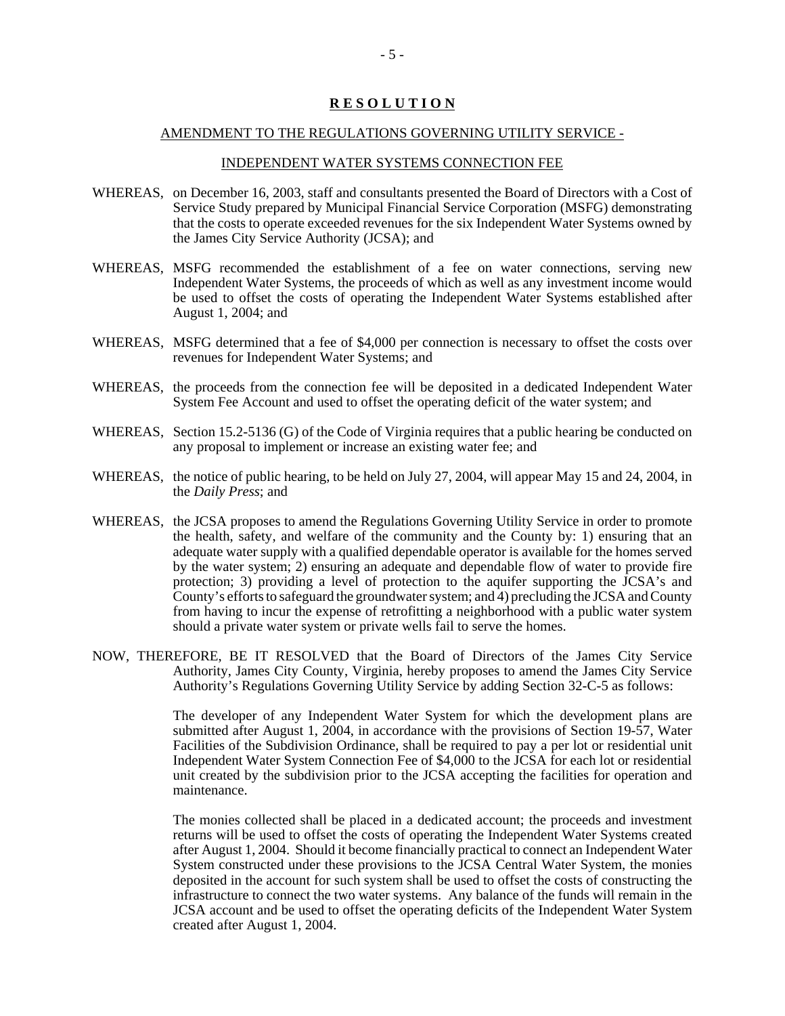## **R E S O L U T I O N**

#### AMENDMENT TO THE REGULATIONS GOVERNING UTILITY SERVICE -

#### INDEPENDENT WATER SYSTEMS CONNECTION FEE

- WHEREAS, on December 16, 2003, staff and consultants presented the Board of Directors with a Cost of Service Study prepared by Municipal Financial Service Corporation (MSFG) demonstrating that the costs to operate exceeded revenues for the six Independent Water Systems owned by the James City Service Authority (JCSA); and
- WHEREAS, MSFG recommended the establishment of a fee on water connections, serving new Independent Water Systems, the proceeds of which as well as any investment income would be used to offset the costs of operating the Independent Water Systems established after August 1, 2004; and
- WHEREAS, MSFG determined that a fee of \$4,000 per connection is necessary to offset the costs over revenues for Independent Water Systems; and
- WHEREAS, the proceeds from the connection fee will be deposited in a dedicated Independent Water System Fee Account and used to offset the operating deficit of the water system; and
- WHEREAS, Section 15.2-5136 (G) of the Code of Virginia requires that a public hearing be conducted on any proposal to implement or increase an existing water fee; and
- WHEREAS, the notice of public hearing, to be held on July 27, 2004, will appear May 15 and 24, 2004, in the *Daily Press*; and
- WHEREAS, the JCSA proposes to amend the Regulations Governing Utility Service in order to promote the health, safety, and welfare of the community and the County by: 1) ensuring that an adequate water supply with a qualified dependable operator is available for the homes served by the water system; 2) ensuring an adequate and dependable flow of water to provide fire protection; 3) providing a level of protection to the aquifer supporting the JCSA's and County's efforts to safeguard the groundwater system; and 4) precluding the JCSA and County from having to incur the expense of retrofitting a neighborhood with a public water system should a private water system or private wells fail to serve the homes.
- NOW, THEREFORE, BE IT RESOLVED that the Board of Directors of the James City Service Authority, James City County, Virginia, hereby proposes to amend the James City Service Authority's Regulations Governing Utility Service by adding Section 32-C-5 as follows:

The developer of any Independent Water System for which the development plans are submitted after August 1, 2004, in accordance with the provisions of Section 19-57, Water Facilities of the Subdivision Ordinance, shall be required to pay a per lot or residential unit Independent Water System Connection Fee of \$4,000 to the JCSA for each lot or residential unit created by the subdivision prior to the JCSA accepting the facilities for operation and maintenance.

The monies collected shall be placed in a dedicated account; the proceeds and investment returns will be used to offset the costs of operating the Independent Water Systems created after August 1, 2004. Should it become financially practical to connect an Independent Water System constructed under these provisions to the JCSA Central Water System, the monies deposited in the account for such system shall be used to offset the costs of constructing the infrastructure to connect the two water systems. Any balance of the funds will remain in the JCSA account and be used to offset the operating deficits of the Independent Water System created after August 1, 2004.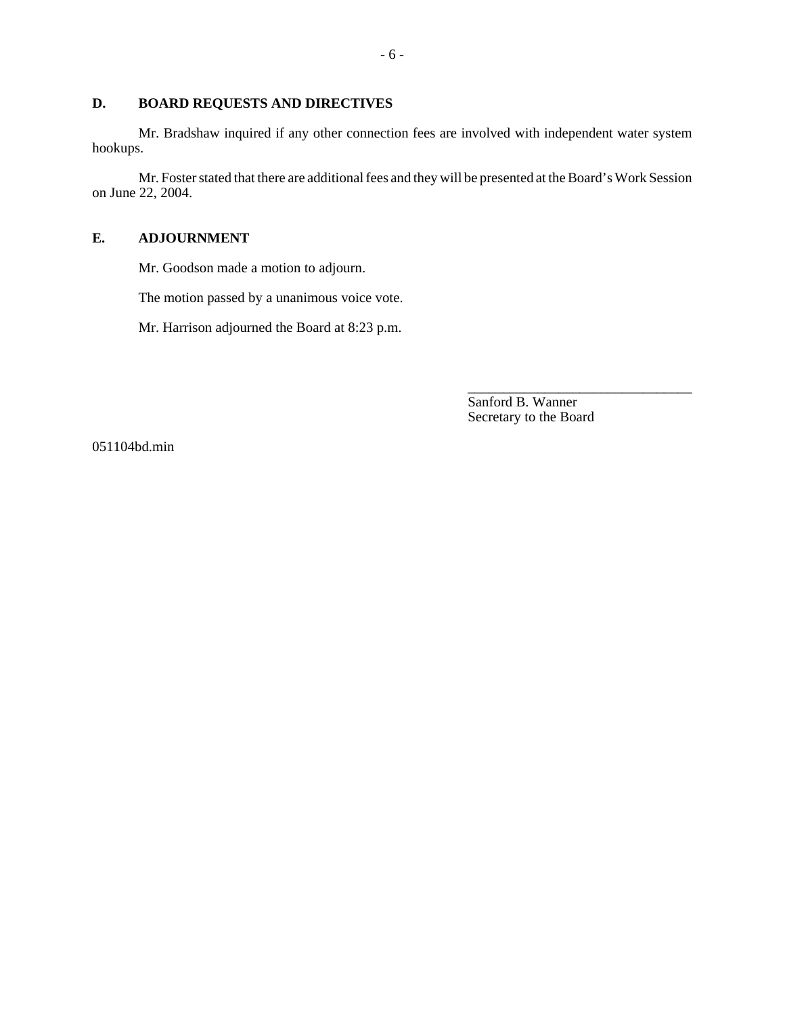#### **D. BOARD REQUESTS AND DIRECTIVES**

Mr. Bradshaw inquired if any other connection fees are involved with independent water system hookups.

Mr. Foster stated that there are additional fees and they will be presented at the Board's Work Session on June 22, 2004.

#### **E. ADJOURNMENT**

Mr. Goodson made a motion to adjourn.

The motion passed by a unanimous voice vote.

Mr. Harrison adjourned the Board at 8:23 p.m.

Sanford B. Wanner Secretary to the Board

\_\_\_\_\_\_\_\_\_\_\_\_\_\_\_\_\_\_\_\_\_\_\_\_\_\_\_\_\_\_\_\_

051104bd.min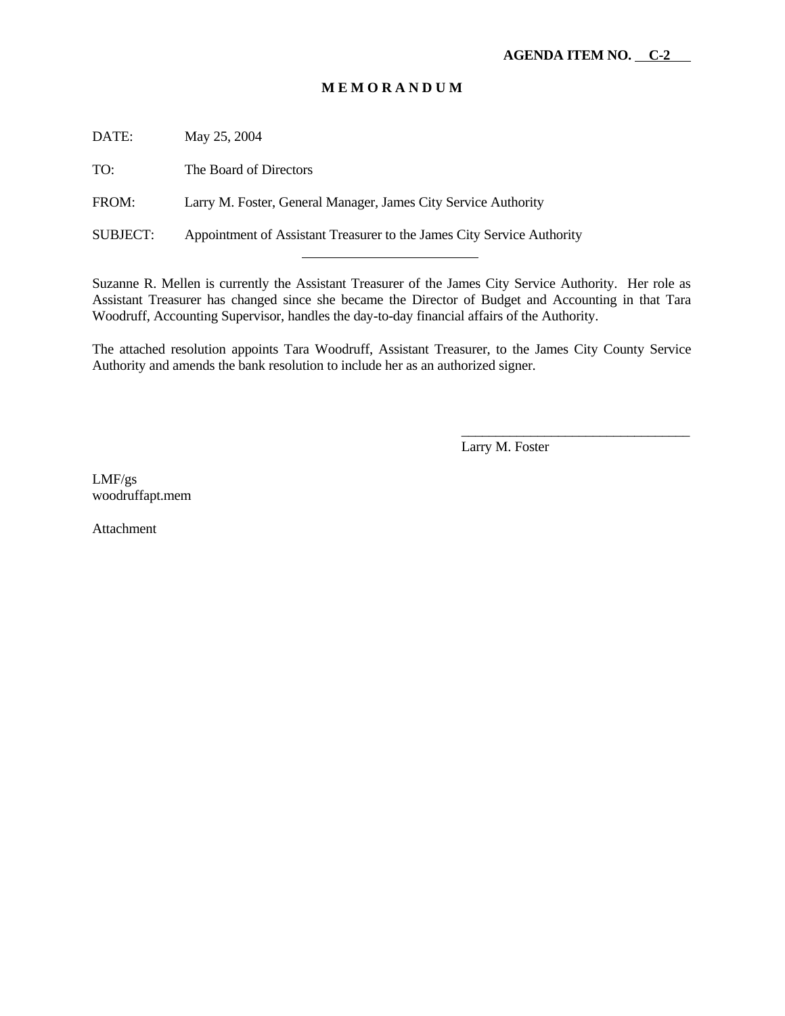## **M E M O R A N D U M**

DATE: May 25, 2004

TO: The Board of Directors

FROM: Larry M. Foster, General Manager, James City Service Authority

l

SUBJECT: Appointment of Assistant Treasurer to the James City Service Authority

Suzanne R. Mellen is currently the Assistant Treasurer of the James City Service Authority. Her role as Assistant Treasurer has changed since she became the Director of Budget and Accounting in that Tara Woodruff, Accounting Supervisor, handles the day-to-day financial affairs of the Authority.

The attached resolution appoints Tara Woodruff, Assistant Treasurer, to the James City County Service Authority and amends the bank resolution to include her as an authorized signer.

Larry M. Foster

\_\_\_\_\_\_\_\_\_\_\_\_\_\_\_\_\_\_\_\_\_\_\_\_\_\_\_\_\_\_\_\_\_

LMF/gs woodruffapt.mem

Attachment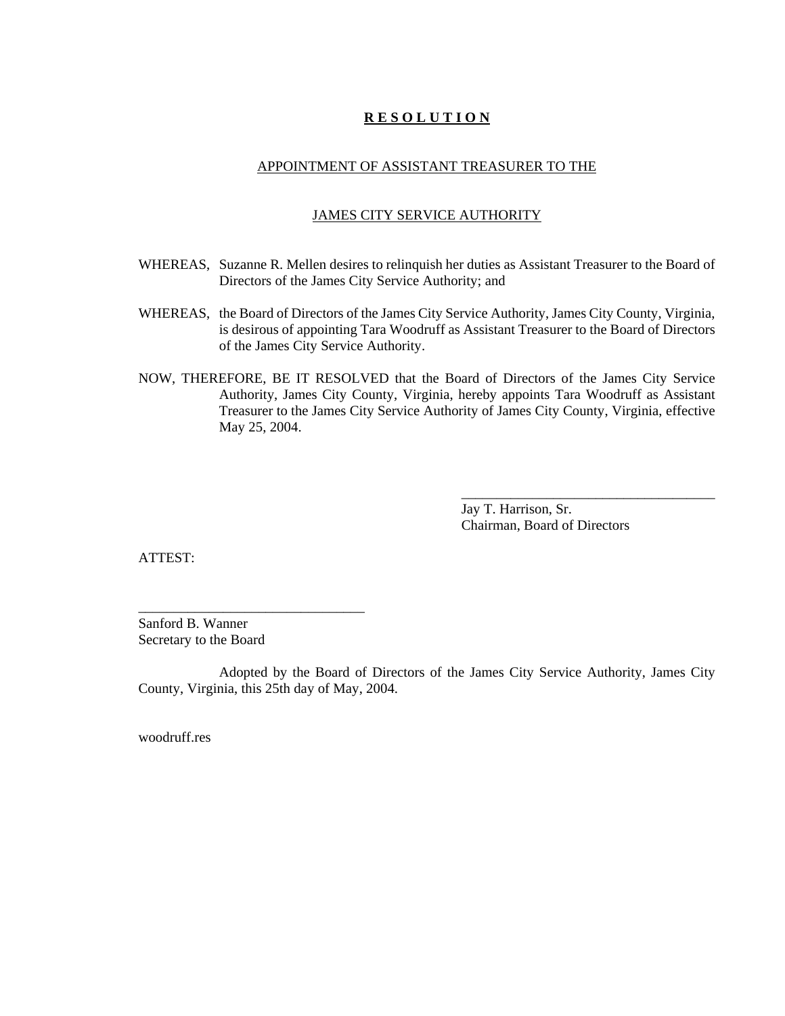## **R E S O L U T I O N**

#### APPOINTMENT OF ASSISTANT TREASURER TO THE

#### JAMES CITY SERVICE AUTHORITY

- WHEREAS, Suzanne R. Mellen desires to relinquish her duties as Assistant Treasurer to the Board of Directors of the James City Service Authority; and
- WHEREAS, the Board of Directors of the James City Service Authority, James City County, Virginia, is desirous of appointing Tara Woodruff as Assistant Treasurer to the Board of Directors of the James City Service Authority.
- NOW, THEREFORE, BE IT RESOLVED that the Board of Directors of the James City Service Authority, James City County, Virginia, hereby appoints Tara Woodruff as Assistant Treasurer to the James City Service Authority of James City County, Virginia, effective May 25, 2004.

Jay T. Harrison, Sr. Chairman, Board of Directors

\_\_\_\_\_\_\_\_\_\_\_\_\_\_\_\_\_\_\_\_\_\_\_\_\_\_\_\_\_\_\_\_\_\_\_\_

ATTEST:

Sanford B. Wanner Secretary to the Board

\_\_\_\_\_\_\_\_\_\_\_\_\_\_\_\_\_\_\_\_\_\_\_\_\_\_\_\_\_\_\_\_

Adopted by the Board of Directors of the James City Service Authority, James City County, Virginia, this 25th day of May, 2004.

woodruff.res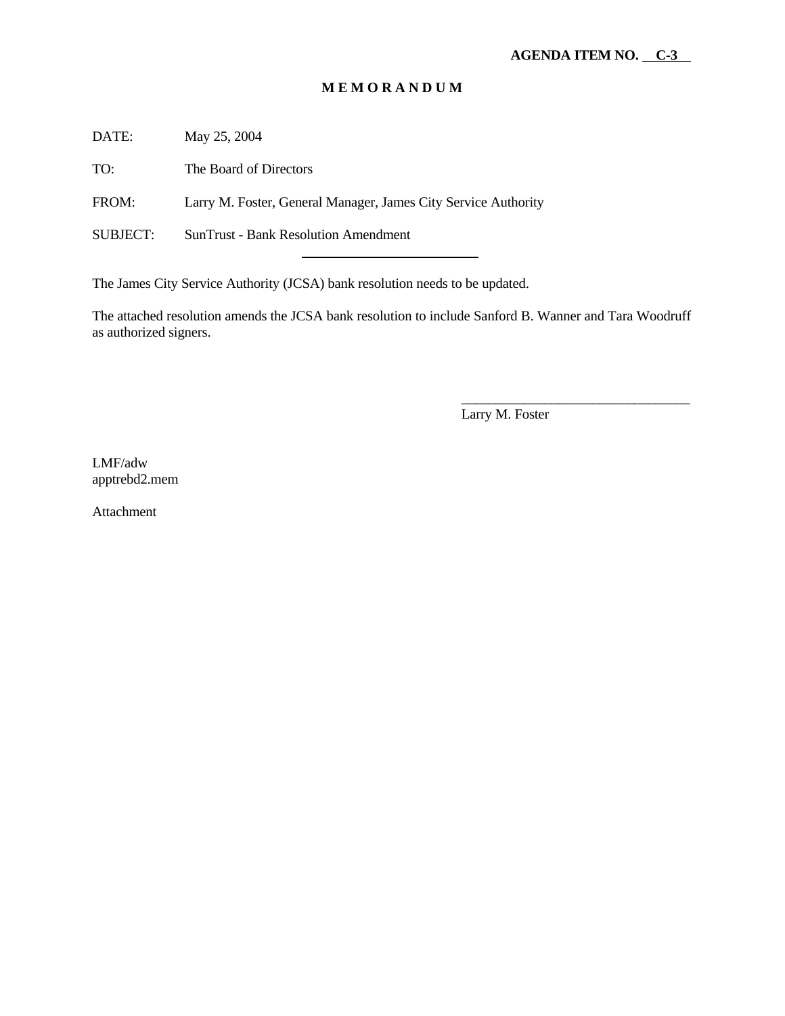## **M E M O R A N D U M**

DATE: May 25, 2004

TO: The Board of Directors

FROM: Larry M. Foster, General Manager, James City Service Authority

SUBJECT: SunTrust - Bank Resolution Amendment

The James City Service Authority (JCSA) bank resolution needs to be updated.

l

The attached resolution amends the JCSA bank resolution to include Sanford B. Wanner and Tara Woodruff as authorized signers.

Larry M. Foster

\_\_\_\_\_\_\_\_\_\_\_\_\_\_\_\_\_\_\_\_\_\_\_\_\_\_\_\_\_\_\_\_\_

LMF/adw apptrebd2.mem

Attachment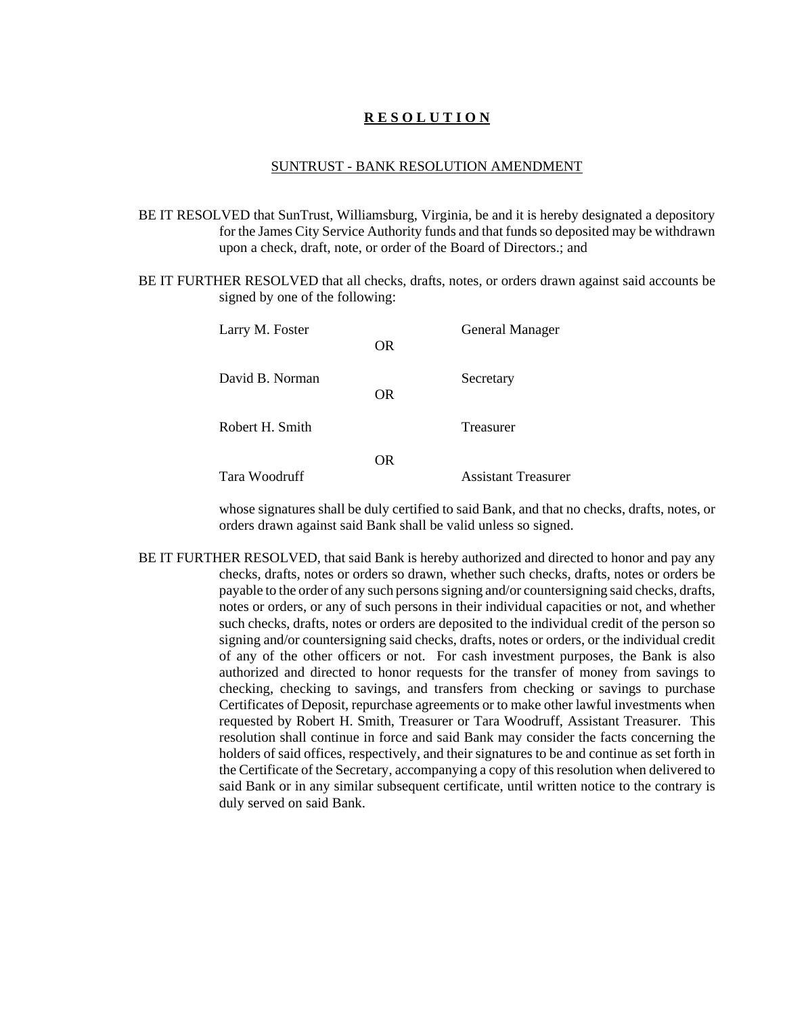## **R E S O L U T I O N**

#### SUNTRUST - BANK RESOLUTION AMENDMENT

- BE IT RESOLVED that SunTrust, Williamsburg, Virginia, be and it is hereby designated a depository for the James City Service Authority funds and that funds so deposited may be withdrawn upon a check, draft, note, or order of the Board of Directors.; and
- BE IT FURTHER RESOLVED that all checks, drafts, notes, or orders drawn against said accounts be signed by one of the following:

| Larry M. Foster | OR.       | General Manager            |
|-----------------|-----------|----------------------------|
| David B. Norman | OR.       | Secretary                  |
| Robert H. Smith |           | Treasurer                  |
| Tara Woodruff   | <b>OR</b> | <b>Assistant Treasurer</b> |

whose signatures shall be duly certified to said Bank, and that no checks, drafts, notes, or orders drawn against said Bank shall be valid unless so signed.

BE IT FURTHER RESOLVED, that said Bank is hereby authorized and directed to honor and pay any checks, drafts, notes or orders so drawn, whether such checks, drafts, notes or orders be payable to the order of any such persons signing and/or countersigning said checks, drafts, notes or orders, or any of such persons in their individual capacities or not, and whether such checks, drafts, notes or orders are deposited to the individual credit of the person so signing and/or countersigning said checks, drafts, notes or orders, or the individual credit of any of the other officers or not. For cash investment purposes, the Bank is also authorized and directed to honor requests for the transfer of money from savings to checking, checking to savings, and transfers from checking or savings to purchase Certificates of Deposit, repurchase agreements or to make other lawful investments when requested by Robert H. Smith, Treasurer or Tara Woodruff, Assistant Treasurer. This resolution shall continue in force and said Bank may consider the facts concerning the holders of said offices, respectively, and their signatures to be and continue as set forth in the Certificate of the Secretary, accompanying a copy of this resolution when delivered to said Bank or in any similar subsequent certificate, until written notice to the contrary is duly served on said Bank.